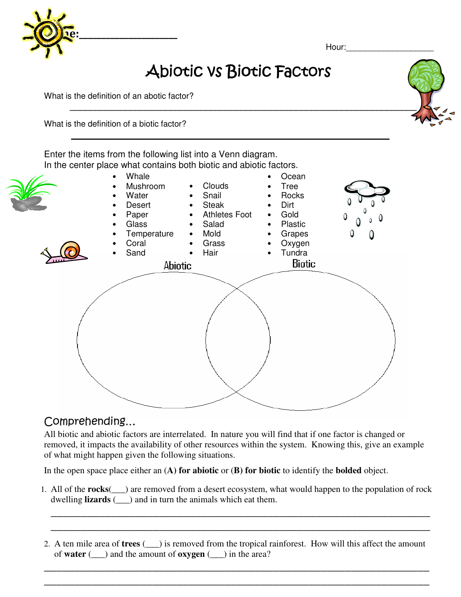

Hour:

## Abiotic vs Biotic Factors

 **\_\_\_\_\_\_\_\_\_\_\_\_\_\_\_\_\_\_\_\_\_\_\_\_\_\_\_\_\_\_\_\_\_\_\_\_\_\_\_\_\_\_\_\_\_\_\_\_\_\_\_\_\_\_\_\_\_\_\_\_\_\_\_\_\_\_\_\_\_**

What is the definition of an abotic factor?

What is the definition of a biotic factor?

**\_\_\_\_\_\_\_\_\_\_\_\_\_\_\_\_\_\_\_\_\_\_\_\_\_\_\_\_\_\_\_\_\_\_\_\_\_\_\_\_\_\_\_\_\_\_\_\_\_\_\_\_\_\_\_\_\_\_\_\_\_\_\_\_\_\_\_\_\_\_\_\_\_\_\_\_** Enter the items from the following list into a Venn diagram. In the center place what contains both biotic and abiotic factors.



## Comprehending…

All biotic and abiotic factors are interrelated. In nature you will find that if one factor is changed or removed, it impacts the availability of other resources within the system. Knowing this, give an example of what might happen given the following situations.

In the open space place either an (**A) for abiotic** or (**B) for biotic** to identify the **bolded** object.

1. All of the **rocks**(\_\_\_) are removed from a desert ecosystem, what would happen to the population of rock dwelling **lizards** (\_\_\_) and in turn the animals which eat them.

\_\_\_\_\_\_\_\_\_\_\_\_\_\_\_\_\_\_\_\_\_\_\_\_\_\_\_\_\_\_\_\_\_\_\_\_\_\_\_\_\_\_\_\_\_\_\_\_\_\_\_\_\_\_\_\_\_\_\_\_\_\_\_ \_\_\_\_\_\_\_\_\_\_\_\_\_\_\_\_\_\_\_\_\_\_\_\_\_\_\_\_\_\_\_\_\_\_\_\_\_\_\_\_\_\_\_\_\_\_\_\_\_\_\_\_\_\_\_\_\_\_\_\_\_\_\_

2. A ten mile area of **trees** (\_\_\_) is removed from the tropical rainforest. How will this affect the amount of **water** (\_\_\_) and the amount of **oxygen** (\_\_\_) in the area?

\_\_\_\_\_\_\_\_\_\_\_\_\_\_\_\_\_\_\_\_\_\_\_\_\_\_\_\_\_\_\_\_\_\_\_\_\_\_\_\_\_\_\_\_\_\_\_\_\_\_\_\_\_\_\_\_\_\_\_\_\_\_\_\_ \_\_\_\_\_\_\_\_\_\_\_\_\_\_\_\_\_\_\_\_\_\_\_\_\_\_\_\_\_\_\_\_\_\_\_\_\_\_\_\_\_\_\_\_\_\_\_\_\_\_\_\_\_\_\_\_\_\_\_\_\_\_\_\_